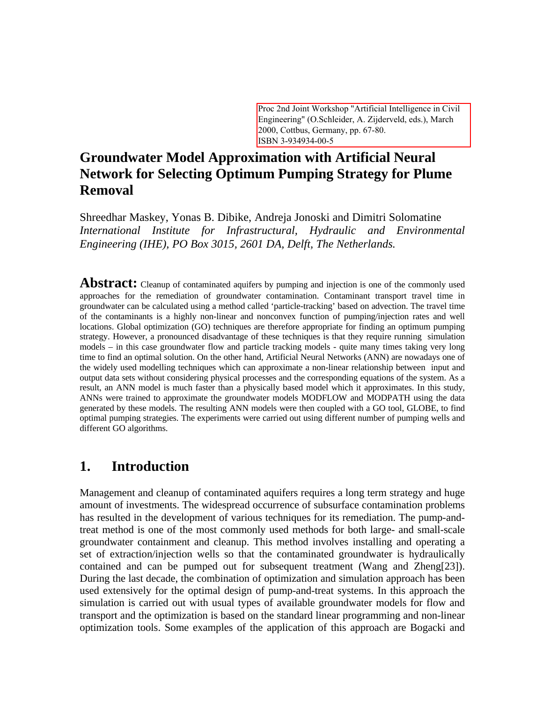Proc 2nd Joint Workshop "Artificial Intelligence in Civil Engineering" (O.Schleider, A. Zijderveld, eds.), March 2000, Cottbus, Germany, pp. 67-80. ISBN 3-934934-00-5

## **Groundwater Model Approximation with Artificial Neural Network for Selecting Optimum Pumping Strategy for Plume Removal**

Shreedhar Maskey, Yonas B. Dibike, Andreja Jonoski and Dimitri Solomatine *International Institute for Infrastructural, Hydraulic and Environmental Engineering (IHE), PO Box 3015, 2601 DA, Delft, The Netherlands.*

**Abstract:** Cleanup of contaminated aquifers by pumping and injection is one of the commonly used approaches for the remediation of groundwater contamination. Contaminant transport travel time in groundwater can be calculated using a method called 'particle-tracking' based on advection. The travel time of the contaminants is a highly non-linear and nonconvex function of pumping/injection rates and well locations. Global optimization (GO) techniques are therefore appropriate for finding an optimum pumping strategy. However, a pronounced disadvantage of these techniques is that they require running simulation models – in this case groundwater flow and particle tracking models - quite many times taking very long time to find an optimal solution. On the other hand, Artificial Neural Networks (ANN) are nowadays one of the widely used modelling techniques which can approximate a non-linear relationship between input and output data sets without considering physical processes and the corresponding equations of the system. As a result, an ANN model is much faster than a physically based model which it approximates. In this study, ANNs were trained to approximate the groundwater models MODFLOW and MODPATH using the data generated by these models. The resulting ANN models were then coupled with a GO tool, GLOBE, to find optimal pumping strategies. The experiments were carried out using different number of pumping wells and different GO algorithms.

## **1. Introduction**

Management and cleanup of contaminated aquifers requires a long term strategy and huge amount of investments. The widespread occurrence of subsurface contamination problems has resulted in the development of various techniques for its remediation. The pump-andtreat method is one of the most commonly used methods for both large- and small-scale groundwater containment and cleanup. This method involves installing and operating a set of extraction/injection wells so that the contaminated groundwater is hydraulically contained and can be pumped out for subsequent treatment (Wang and Zheng[23]). During the last decade, the combination of optimization and simulation approach has been used extensively for the optimal design of pump-and-treat systems. In this approach the simulation is carried out with usual types of available groundwater models for flow and transport and the optimization is based on the standard linear programming and non-linear optimization tools. Some examples of the application of this approach are Bogacki and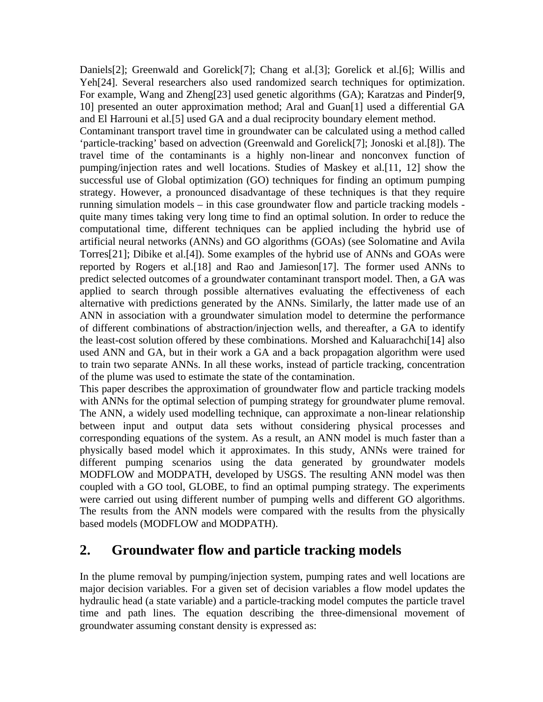Daniels[2]; Greenwald and Gorelick[7]; Chang et al.[3]; Gorelick et al.[6]; Willis and Yeh[24]. Several researchers also used randomized search techniques for optimization. For example, Wang and Zheng[23] used genetic algorithms (GA); Karatzas and Pinder[9, 10] presented an outer approximation method; Aral and Guan[1] used a differential GA and El Harrouni et al.[5] used GA and a dual reciprocity boundary element method.

Contaminant transport travel time in groundwater can be calculated using a method called 'particle-tracking' based on advection (Greenwald and Gorelick[7]; Jonoski et al.[8]). The travel time of the contaminants is a highly non-linear and nonconvex function of pumping/injection rates and well locations. Studies of Maskey et al.[11, 12] show the successful use of Global optimization (GO) techniques for finding an optimum pumping strategy. However, a pronounced disadvantage of these techniques is that they require running simulation models – in this case groundwater flow and particle tracking models quite many times taking very long time to find an optimal solution. In order to reduce the computational time, different techniques can be applied including the hybrid use of artificial neural networks (ANNs) and GO algorithms (GOAs) (see Solomatine and Avila Torres[21]; Dibike et al.[4]). Some examples of the hybrid use of ANNs and GOAs were reported by Rogers et al.[18] and Rao and Jamieson[17]. The former used ANNs to predict selected outcomes of a groundwater contaminant transport model. Then, a GA was applied to search through possible alternatives evaluating the effectiveness of each alternative with predictions generated by the ANNs. Similarly, the latter made use of an ANN in association with a groundwater simulation model to determine the performance of different combinations of abstraction/injection wells, and thereafter, a GA to identify the least-cost solution offered by these combinations. Morshed and Kaluarachchi[14] also used ANN and GA, but in their work a GA and a back propagation algorithm were used to train two separate ANNs. In all these works, instead of particle tracking, concentration of the plume was used to estimate the state of the contamination.

This paper describes the approximation of groundwater flow and particle tracking models with ANNs for the optimal selection of pumping strategy for groundwater plume removal. The ANN, a widely used modelling technique, can approximate a non-linear relationship between input and output data sets without considering physical processes and corresponding equations of the system. As a result, an ANN model is much faster than a physically based model which it approximates. In this study, ANNs were trained for different pumping scenarios using the data generated by groundwater models MODFLOW and MODPATH, developed by USGS. The resulting ANN model was then coupled with a GO tool, GLOBE, to find an optimal pumping strategy. The experiments were carried out using different number of pumping wells and different GO algorithms. The results from the ANN models were compared with the results from the physically based models (MODFLOW and MODPATH).

## **2. Groundwater flow and particle tracking models**

In the plume removal by pumping/injection system, pumping rates and well locations are major decision variables. For a given set of decision variables a flow model updates the hydraulic head (a state variable) and a particle-tracking model computes the particle travel time and path lines. The equation describing the three-dimensional movement of groundwater assuming constant density is expressed as: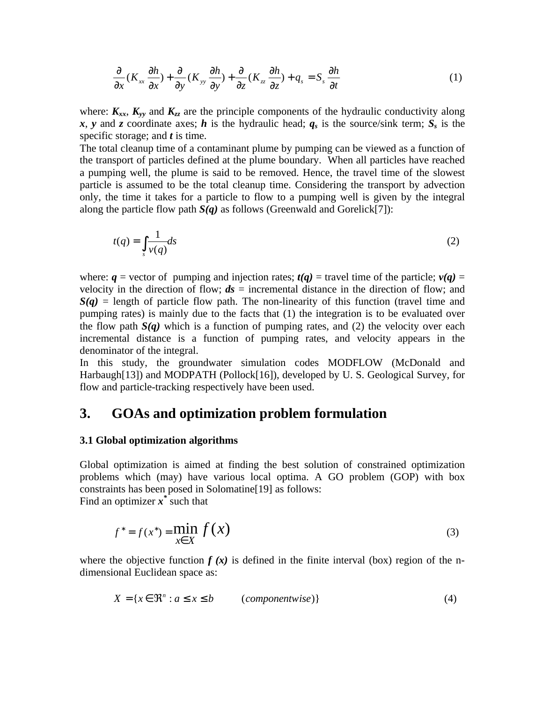$$
\frac{\partial}{\partial x}(K_{xx}\frac{\partial h}{\partial x}) + \frac{\partial}{\partial y}(K_{yy}\frac{\partial h}{\partial y}) + \frac{\partial}{\partial z}(K_{zz}\frac{\partial h}{\partial z}) + q_s = S_s\frac{\partial h}{\partial t}
$$
(1)

where:  $K_{xx}$ ,  $K_{yy}$  and  $K_{zz}$  are the principle components of the hydraulic conductivity along *x*, *y* and *z* coordinate axes; *h* is the hydraulic head;  $q_s$  is the source/sink term;  $S_s$  is the specific storage; and *t* is time.

The total cleanup time of a contaminant plume by pumping can be viewed as a function of the transport of particles defined at the plume boundary. When all particles have reached a pumping well, the plume is said to be removed. Hence, the travel time of the slowest particle is assumed to be the total cleanup time. Considering the transport by advection only, the time it takes for a particle to flow to a pumping well is given by the integral along the particle flow path  $S(q)$  as follows (Greenwald and Gorelick[7]):

$$
t(q) = \int_{s} \frac{1}{v(q)} ds \tag{2}
$$

where:  $q$  = vector of pumping and injection rates;  $t(q)$  = travel time of the particle;  $v(q)$  = velocity in the direction of flow;  $ds =$  incremental distance in the direction of flow; and  $S(q)$  = length of particle flow path. The non-linearity of this function (travel time and pumping rates) is mainly due to the facts that (1) the integration is to be evaluated over the flow path  $S(q)$  which is a function of pumping rates, and (2) the velocity over each incremental distance is a function of pumping rates, and velocity appears in the denominator of the integral.

In this study, the groundwater simulation codes MODFLOW (McDonald and Harbaugh[13]) and MODPATH (Pollock[16]), developed by U. S. Geological Survey, for flow and particle-tracking respectively have been used.

### **3. GOAs and optimization problem formulation**

#### **3.1 Global optimization algorithms**

Global optimization is aimed at finding the best solution of constrained optimization problems which (may) have various local optima. A GO problem (GOP) with box constraints has been posed in Solomatine[19] as follows: Find an optimizer  $\vec{x}^*$  such that

 $(x^*) = \min f(x)$ *x X*  $f^* = f(x)$ ∈  $* = f(x^*) =$ (3)

where the objective function  $f(x)$  is defined in the finite interval (box) region of the ndimensional Euclidean space as:

$$
X = \{x \in \mathbb{R}^n : a \le x \le b \qquad (componentwise)\}\tag{4}
$$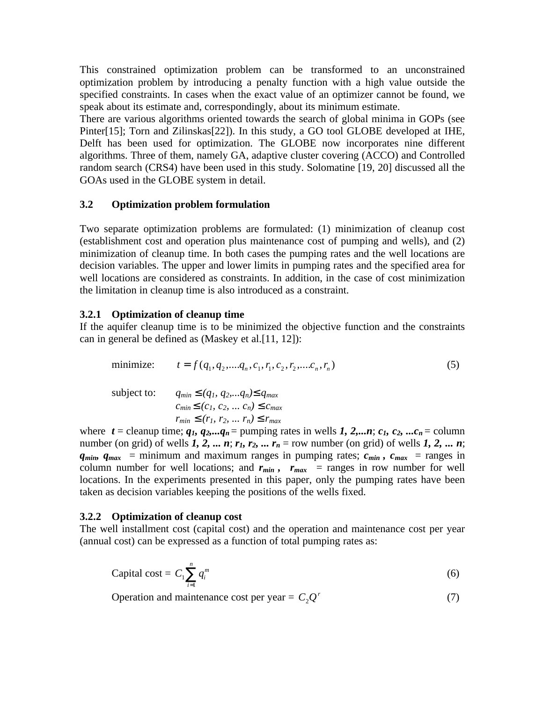This constrained optimization problem can be transformed to an unconstrained optimization problem by introducing a penalty function with a high value outside the specified constraints. In cases when the exact value of an optimizer cannot be found, we speak about its estimate and, correspondingly, about its minimum estimate.

There are various algorithms oriented towards the search of global minima in GOPs (see Pinter[15]; Torn and Zilinskas[22]). In this study, a GO tool GLOBE developed at IHE, Delft has been used for optimization. The GLOBE now incorporates nine different algorithms. Three of them, namely GA, adaptive cluster covering (ACCO) and Controlled random search (CRS4) have been used in this study. Solomatine [19, 20] discussed all the GOAs used in the GLOBE system in detail.

#### **3.2 Optimization problem formulation**

Two separate optimization problems are formulated: (1) minimization of cleanup cost (establishment cost and operation plus maintenance cost of pumping and wells), and (2) minimization of cleanup time. In both cases the pumping rates and the well locations are decision variables. The upper and lower limits in pumping rates and the specified area for well locations are considered as constraints. In addition, in the case of cost minimization the limitation in cleanup time is also introduced as a constraint.

### **3.2.1 Optimization of cleanup time**

If the aquifer cleanup time is to be minimized the objective function and the constraints can in general be defined as (Maskey et al.[11, 12]):

| minimize:   | $t = f(q_1, q_2, \dots, q_n, c_1, r_1, c_2, r_2, \dots, c_n, r_n)$                                                              |  |
|-------------|---------------------------------------------------------------------------------------------------------------------------------|--|
| subject to: | $q_{min}$ £ $(q_1, q_2,q_n)$ £ $q_{max}$<br>$c_{min}$ £ (c <sub>1</sub> , c <sub>2</sub> ,  c <sub>n</sub> ) £ c <sub>max</sub> |  |
|             | $r_{min}$ £ $(r_1, r_2, , r_n)$ £ $r_{max}$                                                                                     |  |

where  $t =$  cleanup time;  $q_1, q_2, \ldots, q_n =$  pumping rates in wells 1, 2,...*n*;  $c_1, c_2, \ldots, c_n =$  column number (on grid) of wells  $\vec{l}$ ,  $\vec{2}$ ,  $\ldots$   $\vec{n}$ ;  $\vec{r}_1$ ,  $\vec{r}_2$ ,  $\ldots$   $\vec{r}_n$  = row number (on grid) of wells  $\vec{l}$ ,  $\vec{2}$ ,  $\ldots$   $\vec{n}$ ;  $q_{min}$ ,  $q_{max}$  = minimum and maximum ranges in pumping rates;  $c_{min}$ ,  $c_{max}$  = ranges in column number for well locations; and  $r_{min}$ ,  $r_{max}$  = ranges in row number for well locations. In the experiments presented in this paper, only the pumping rates have been taken as decision variables keeping the positions of the wells fixed.

#### **3.2.2 Optimization of cleanup cost**

The well installment cost (capital cost) and the operation and maintenance cost per year (annual cost) can be expressed as a function of total pumping rates as:

Capital cost = 
$$
C_1 \sum_{i=1}^{n} q_i^m
$$
 (6)

Operation and maintenance cost per year =  $C_2Q^r$  (7)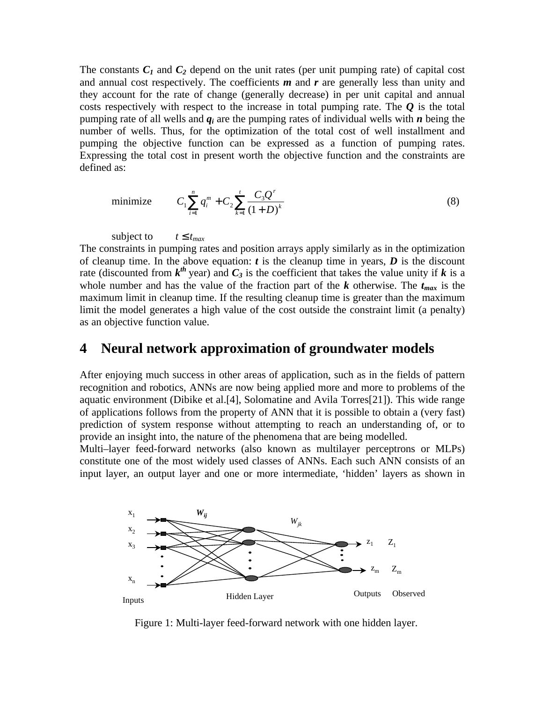The constants  $C_I$  and  $C_2$  depend on the unit rates (per unit pumping rate) of capital cost and annual cost respectively. The coefficients *m* and *r* are generally less than unity and they account for the rate of change (generally decrease) in per unit capital and annual costs respectively with respect to the increase in total pumping rate. The  $\bm{O}$  is the total pumping rate of all wells and *qi* are the pumping rates of individual wells with *n* being the number of wells. Thus, for the optimization of the total cost of well installment and pumping the objective function can be expressed as a function of pumping rates. Expressing the total cost in present worth the objective function and the constraints are defined as:

minimize 
$$
C_1 \sum_{i=1}^{n} q_i^m + C_2 \sum_{k=1}^{t} \frac{C_3 Q^r}{(1+D)^k}
$$
 (8)

subject to  $t \in t_{max}$ 

The constraints in pumping rates and position arrays apply similarly as in the optimization of cleanup time. In the above equation:  $t$  is the cleanup time in years,  $D$  is the discount rate (discounted from  $k^{th}$  year) and  $C_3$  is the coefficient that takes the value unity if k is a whole number and has the value of the fraction part of the  $k$  otherwise. The  $t_{max}$  is the maximum limit in cleanup time. If the resulting cleanup time is greater than the maximum limit the model generates a high value of the cost outside the constraint limit (a penalty) as an objective function value.

### **4 Neural network approximation of groundwater models**

After enjoying much success in other areas of application, such as in the fields of pattern recognition and robotics, ANNs are now being applied more and more to problems of the aquatic environment (Dibike et al.[4], Solomatine and Avila Torres[21]). This wide range of applications follows from the property of ANN that it is possible to obtain a (very fast) prediction of system response without attempting to reach an understanding of, or to provide an insight into, the nature of the phenomena that are being modelled.

Multi–layer feed-forward networks (also known as multilayer perceptrons or MLPs) constitute one of the most widely used classes of ANNs. Each such ANN consists of an input layer, an output layer and one or more intermediate, 'hidden' layers as shown in



Figure 1: Multi-layer feed-forward network with one hidden layer.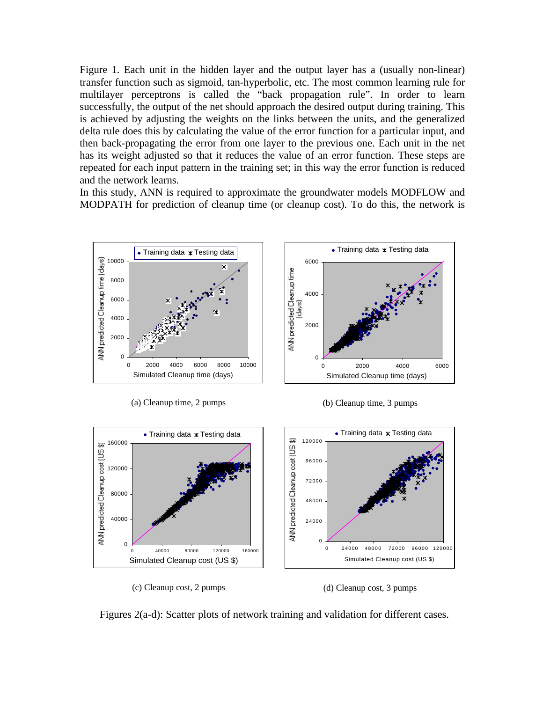Figure 1. Each unit in the hidden layer and the output layer has a (usually non-linear) transfer function such as sigmoid, tan-hyperbolic, etc. The most common learning rule for multilayer perceptrons is called the "back propagation rule". In order to learn successfully, the output of the net should approach the desired output during training. This is achieved by adjusting the weights on the links between the units, and the generalized delta rule does this by calculating the value of the error function for a particular input, and then back-propagating the error from one layer to the previous one. Each unit in the net has its weight adjusted so that it reduces the value of an error function. These steps are repeated for each input pattern in the training set; in this way the error function is reduced and the network learns.

In this study, ANN is required to approximate the groundwater models MODFLOW and MODPATH for prediction of cleanup time (or cleanup cost). To do this, the network is



(a) Cleanup time, 2 pumps

(b) Cleanup time, 3 pumps



(c) Cleanup cost, 2 pumps

(d) Cleanup cost, 3 pumps

Figures 2(a-d): Scatter plots of network training and validation for different cases.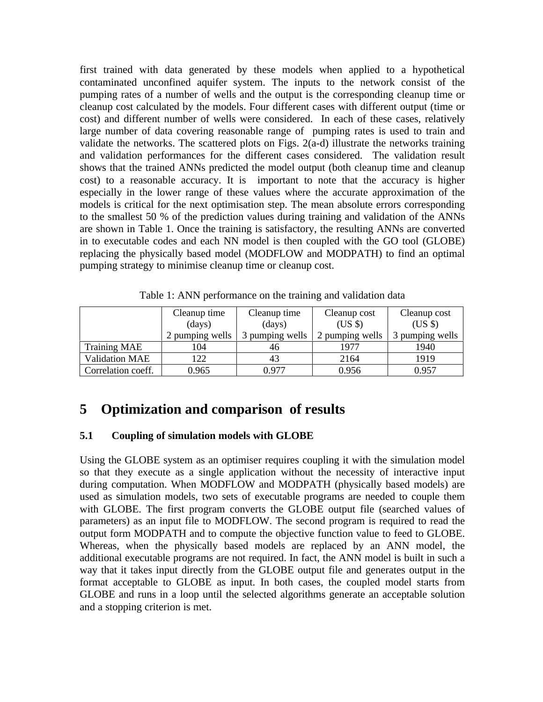first trained with data generated by these models when applied to a hypothetical contaminated unconfined aquifer system. The inputs to the network consist of the pumping rates of a number of wells and the output is the corresponding cleanup time or cleanup cost calculated by the models. Four different cases with different output (time or cost) and different number of wells were considered. In each of these cases, relatively large number of data covering reasonable range of pumping rates is used to train and validate the networks. The scattered plots on Figs. 2(a-d) illustrate the networks training and validation performances for the different cases considered. The validation result shows that the trained ANNs predicted the model output (both cleanup time and cleanup cost) to a reasonable accuracy. It is important to note that the accuracy is higher especially in the lower range of these values where the accurate approximation of the models is critical for the next optimisation step. The mean absolute errors corresponding to the smallest 50 % of the prediction values during training and validation of the ANNs are shown in Table 1. Once the training is satisfactory, the resulting ANNs are converted in to executable codes and each NN model is then coupled with the GO tool (GLOBE) replacing the physically based model (MODFLOW and MODPATH) to find an optimal pumping strategy to minimise cleanup time or cleanup cost.

|                       | Cleanup time    | Cleanup time     | Cleanup cost    | Cleanup cost    |
|-----------------------|-----------------|------------------|-----------------|-----------------|
|                       | (days)          | $\frac{days}{9}$ | (USS)           | $(US \$         |
|                       | 2 pumping wells | 3 pumping wells  | 2 pumping wells | 3 pumping wells |
| <b>Training MAE</b>   | 104             | 46               | 1977            | 1940            |
| <b>Validation MAE</b> | 122             | 43               | 2164            | 1919            |
| Correlation coeff.    | 0.965           | 0.977            | 0.956           | 0.957           |

Table 1: ANN performance on the training and validation data

# **5 Optimization and comparison of results**

### **5.1 Coupling of simulation models with GLOBE**

Using the GLOBE system as an optimiser requires coupling it with the simulation model so that they execute as a single application without the necessity of interactive input during computation. When MODFLOW and MODPATH (physically based models) are used as simulation models, two sets of executable programs are needed to couple them with GLOBE. The first program converts the GLOBE output file (searched values of parameters) as an input file to MODFLOW. The second program is required to read the output form MODPATH and to compute the objective function value to feed to GLOBE. Whereas, when the physically based models are replaced by an ANN model, the additional executable programs are not required. In fact, the ANN model is built in such a way that it takes input directly from the GLOBE output file and generates output in the format acceptable to GLOBE as input. In both cases, the coupled model starts from GLOBE and runs in a loop until the selected algorithms generate an acceptable solution and a stopping criterion is met.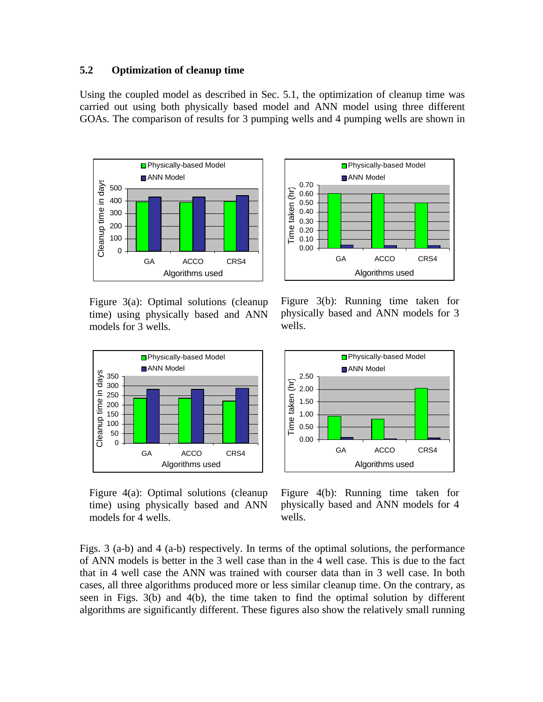#### **5.2 Optimization of cleanup time**

Using the coupled model as described in Sec. 5.1, the optimization of cleanup time was carried out using both physically based model and ANN model using three different GOAs. The comparison of results for 3 pumping wells and 4 pumping wells are shown in





Figure 3(a): Optimal solutions (cleanup time) using physically based and ANN models for 3 wells.



Figure 4(a): Optimal solutions (cleanup time) using physically based and ANN models for 4 wells.

Figure 3(b): Running time taken for physically based and ANN models for 3 wells.



Figure 4(b): Running time taken for physically based and ANN models for 4 wells.

Figs. 3 (a-b) and 4 (a-b) respectively. In terms of the optimal solutions, the performance of ANN models is better in the 3 well case than in the 4 well case. This is due to the fact that in 4 well case the ANN was trained with courser data than in 3 well case. In both cases, all three algorithms produced more or less similar cleanup time. On the contrary, as seen in Figs. 3(b) and 4(b), the time taken to find the optimal solution by different algorithms are significantly different. These figures also show the relatively small running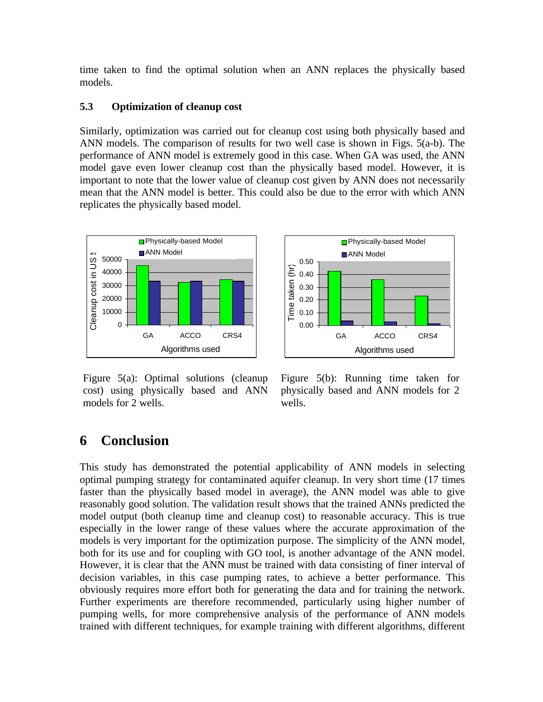time taken to find the optimal solution when an ANN replaces the physically based models.

### **5.3 Optimization of cleanup cost**

Similarly, optimization was carried out for cleanup cost using both physically based and ANN models. The comparison of results for two well case is shown in Figs. 5(a-b). The performance of ANN model is extremely good in this case. When GA was used, the ANN model gave even lower cleanup cost than the physically based model. However, it is important to note that the lower value of cleanup cost given by ANN does not necessarily mean that the ANN model is better. This could also be due to the error with which ANN replicates the physically based model.



Figure 5(a): Optimal solutions (cleanup cost) using physically based and ANN models for 2 wells.



Figure 5(b): Running time taken for physically based and ANN models for 2 wells.

## **6 Conclusion**

This study has demonstrated the potential applicability of ANN models in selecting optimal pumping strategy for contaminated aquifer cleanup. In very short time (17 times faster than the physically based model in average), the ANN model was able to give reasonably good solution. The validation result shows that the trained ANNs predicted the model output (both cleanup time and cleanup cost) to reasonable accuracy. This is true especially in the lower range of these values where the accurate approximation of the models is very important for the optimization purpose. The simplicity of the ANN model, both for its use and for coupling with GO tool, is another advantage of the ANN model. However, it is clear that the ANN must be trained with data consisting of finer interval of decision variables, in this case pumping rates, to achieve a better performance. This obviously requires more effort both for generating the data and for training the network. Further experiments are therefore recommended, particularly using higher number of pumping wells, for more comprehensive analysis of the performance of ANN models trained with different techniques, for example training with different algorithms, different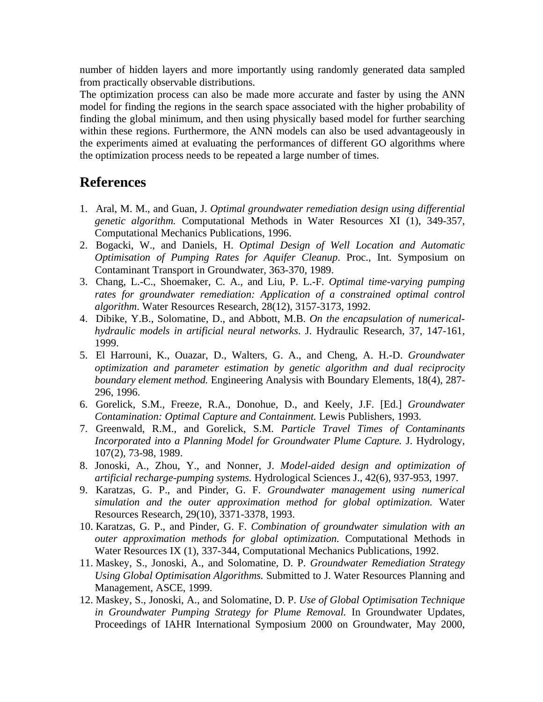number of hidden layers and more importantly using randomly generated data sampled from practically observable distributions.

The optimization process can also be made more accurate and faster by using the ANN model for finding the regions in the search space associated with the higher probability of finding the global minimum, and then using physically based model for further searching within these regions. Furthermore, the ANN models can also be used advantageously in the experiments aimed at evaluating the performances of different GO algorithms where the optimization process needs to be repeated a large number of times.

### **References**

- 1. Aral, M. M., and Guan, J. *Optimal groundwater remediation design using differential genetic algorithm.* Computational Methods in Water Resources XI (1), 349-357, Computational Mechanics Publications, 1996.
- 2. Bogacki, W., and Daniels, H. *Optimal Design of Well Location and Automatic Optimisation of Pumping Rates for Aquifer Cleanup*. Proc., Int. Symposium on Contaminant Transport in Groundwater, 363-370, 1989.
- 3. Chang, L.-C., Shoemaker, C. A., and Liu, P. L.-F. *Optimal time-varying pumping rates for groundwater remediation: Application of a constrained optimal control algorithm*. Water Resources Research, 28(12), 3157-3173, 1992.
- 4. Dibike, Y.B., Solomatine, D., and Abbott, M.B. *On the encapsulation of numericalhydraulic models in artificial neural networks*. J. Hydraulic Research, 37, 147-161, 1999.
- 5. El Harrouni, K., Ouazar, D., Walters, G. A., and Cheng, A. H.-D. *Groundwater optimization and parameter estimation by genetic algorithm and dual reciprocity boundary element method.* Engineering Analysis with Boundary Elements, 18(4), 287- 296, 1996.
- 6. Gorelick, S.M., Freeze, R.A., Donohue, D., and Keely, J.F. [Ed.] *Groundwater Contamination: Optimal Capture and Containment.* Lewis Publishers, 1993.
- 7. Greenwald, R.M., and Gorelick, S.M. *Particle Travel Times of Contaminants Incorporated into a Planning Model for Groundwater Plume Capture.* J. Hydrology, 107(2), 73-98, 1989.
- 8. Jonoski, A., Zhou, Y., and Nonner, J. *Model-aided design and optimization of artificial recharge-pumping systems.* Hydrological Sciences J., 42(6), 937-953, 1997.
- 9. Karatzas, G. P., and Pinder, G. F. *Groundwater management using numerical simulation and the outer approximation method for global optimization.* Water Resources Research, 29(10), 3371-3378, 1993.
- 10. Karatzas, G. P., and Pinder, G. F. *Combination of groundwater simulation with an outer approximation methods for global optimization.* Computational Methods in Water Resources IX (1), 337-344, Computational Mechanics Publications, 1992.
- 11. Maskey, S., Jonoski, A., and Solomatine, D. P. *Groundwater Remediation Strategy Using Global Optimisation Algorithms.* Submitted to J. Water Resources Planning and Management, ASCE, 1999.
- 12. Maskey, S., Jonoski, A., and Solomatine, D. P. *Use of Global Optimisation Technique in Groundwater Pumping Strategy for Plume Removal.* In Groundwater Updates, Proceedings of IAHR International Symposium 2000 on Groundwater, May 2000,